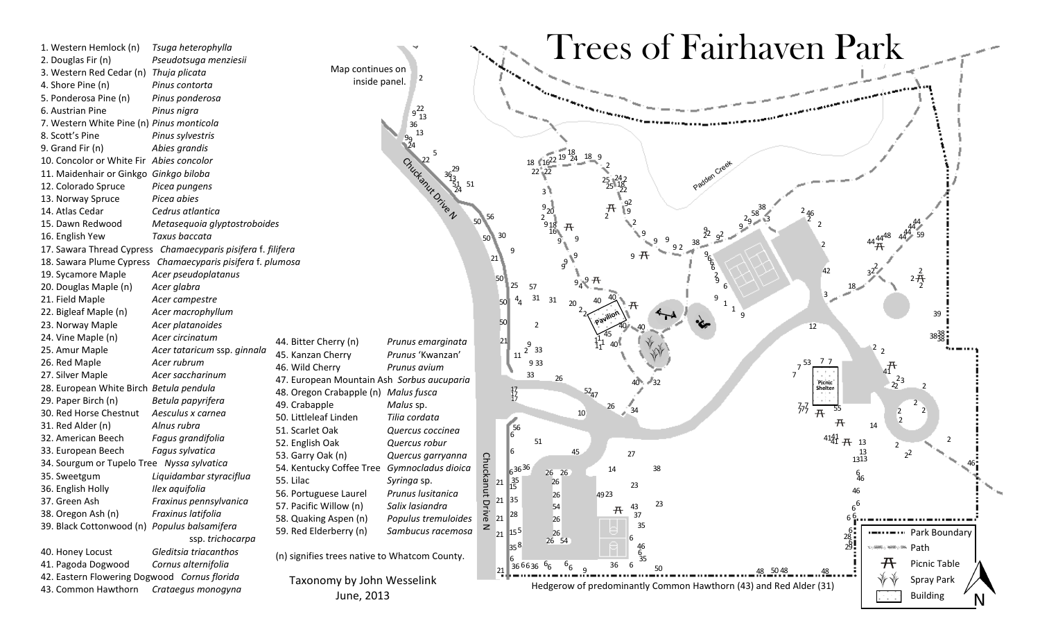1. Western Hemlock (n) *Tsuga heterophylla* 2. Douglas Fir (n) *Pseudotsuga menziesii* 3. Western Red Cedar (n) *Thuja plicata* 4. Shore Pine (n) *Pinus contorta* 5. Ponderosa Pine (n) *Pinus ponderosa* 6. Austrian Pine *Pinus nigra* 7. Western White Pine (n) *Pinus monticola* 8. Scott's Pine *Pinus sylvestris* 9. Grand Fir (n) *Abies grandis* 10. Concolor or White Fir *Abies concolor* 11. Maidenhair or Ginkgo *Ginkgo biloba* 12. Colorado Spruce *Picea pungens* 13. Norway Spruce *Picea abies* 14. Atlas Cedar *Cedrus atlantica* 15. Dawn Redwood *Metasequoia glyptostroboides* 16. English Yew *Taxus baccata* 17. Sawara Thread Cypress *Chamaecyparis pisifera* f. *filifera* 18. Sawara Plume Cypress *Chamaecyparis pisifera* f. *plumosa* 19. Sycamore Maple *Acer pseudoplatanus* 20. Douglas Maple (n) *Acer glabra* 21. Field Maple *Acer campestre* 22. Bigleaf Maple (n) *Acer macrophyllum* 23. Norway Maple *Acer platanoides* 24. Vine Maple (n) *Acer circinatum* 25. Amur Maple *Acer tataricum* ssp. *ginnala* 26. Red Maple *Acer rubrum* 27. Silver Maple *Acer saccharinum* 28. European White Birch *Betula pendula* 29. Paper Birch (n) *Betula papyrifera* 30. Red Horse Chestnut *Aesculus x carnea* 31. Red Alder (n) *Alnus rubra* 32. American Beech *Fagus grandifolia* 33. European Beech *Fagus sylvatica* 34. Sourgum or Tupelo Tree *Nyssa sylvatica* 35. Sweetgum *Liquidambar styraciflua* 36. English Holly *Ilex aquifolia* 37. Green Ash *Fraxinus pennsylvanica* 38. Oregon Ash (n) *Fraxinus latifolia* 39. Black Cottonwood (n) *Populus balsamifera*  ssp. *trichocarpa* 40. Honey Locust *Gleditsia triacanthos* 41. Pagoda Dogwood *Cornus alternifolia* 42. Eastern Flowering Dogwood *Cornus florida* 43. Common Hawthorn *Crataegus monogyna*